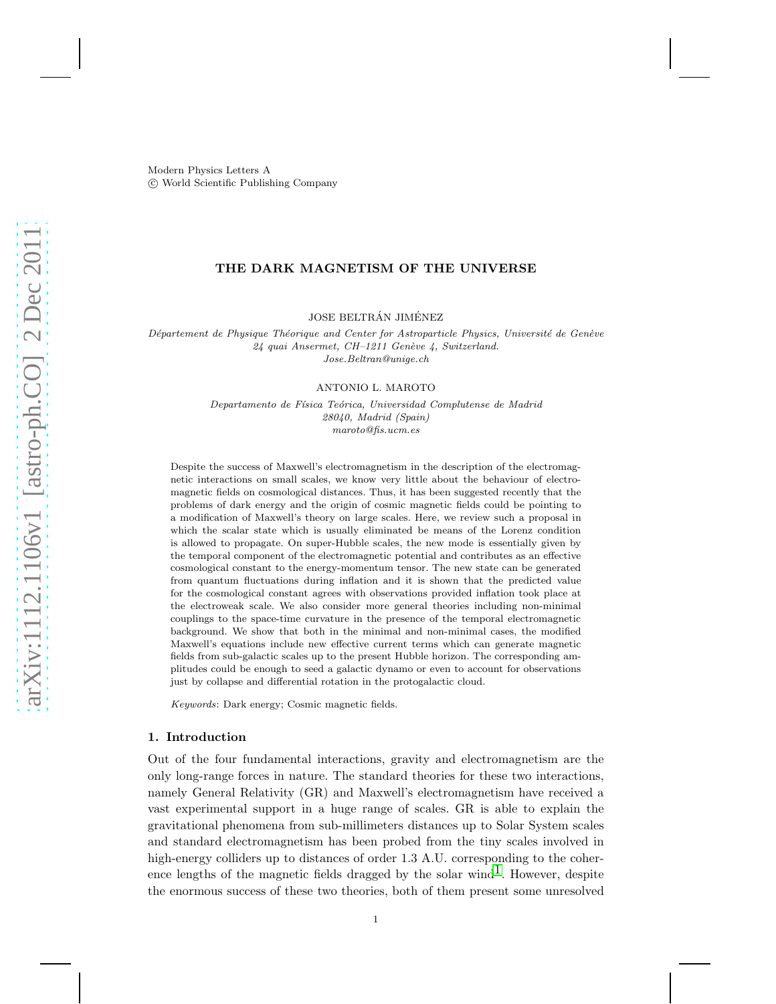Modern Physics Letters A c World Scientific Publishing Company

# THE DARK MAGNETISM OF THE UNIVERSE

JOSE BELTRÁN JIMÉNEZ

Département de Physique Théorique and Center for Astroparticle Physics, Université de Genève 24 quai Ansermet, CH-1211 Genève 4, Switzerland. Jose.Beltran@unige.ch

#### ANTONIO L. MAROTO

Departamento de Física Teórica, Universidad Complutense de Madrid 28040, Madrid (Spain) maroto@fis.ucm.es

Despite the success of Maxwell's electromagnetism in the description of the electromagnetic interactions on small scales, we know very little about the behaviour of electromagnetic fields on cosmological distances. Thus, it has been suggested recently that the problems of dark energy and the origin of cosmic magnetic fields could be pointing to a modification of Maxwell's theory on large scales. Here, we review such a proposal in which the scalar state which is usually eliminated be means of the Lorenz condition is allowed to propagate. On super-Hubble scales, the new mode is essentially given by the temporal component of the electromagnetic potential and contributes as an effective cosmological constant to the energy-momentum tensor. The new state can be generated from quantum fluctuations during inflation and it is shown that the predicted value for the cosmological constant agrees with observations provided inflation took place at the electroweak scale. We also consider more general theories including non-minimal couplings to the space-time curvature in the presence of the temporal electromagnetic background. We show that both in the minimal and non-minimal cases, the modified Maxwell's equations include new effective current terms which can generate magnetic fields from sub-galactic scales up to the present Hubble horizon. The corresponding amplitudes could be enough to seed a galactic dynamo or even to account for observations just by collapse and differential rotation in the protogalactic cloud.

Keywords: Dark energy; Cosmic magnetic fields.

### 1. Introduction

Out of the four fundamental interactions, gravity and electromagnetism are the only long-range forces in nature. The standard theories for these two interactions, namely General Relativity (GR) and Maxwell's electromagnetism have received a vast experimental support in a huge range of scales. GR is able to explain the gravitational phenomena from sub-millimeters distances up to Solar System scales and standard electromagnetism has been probed from the tiny scales involved in high-energy colliders up to distances of order 1.3 A.U. corresponding to the coherence lengths of the magnetic fields dragged by the solar wind<sup>1</sup>. However, despite the enormous success of these two theories, both of them present some unresolved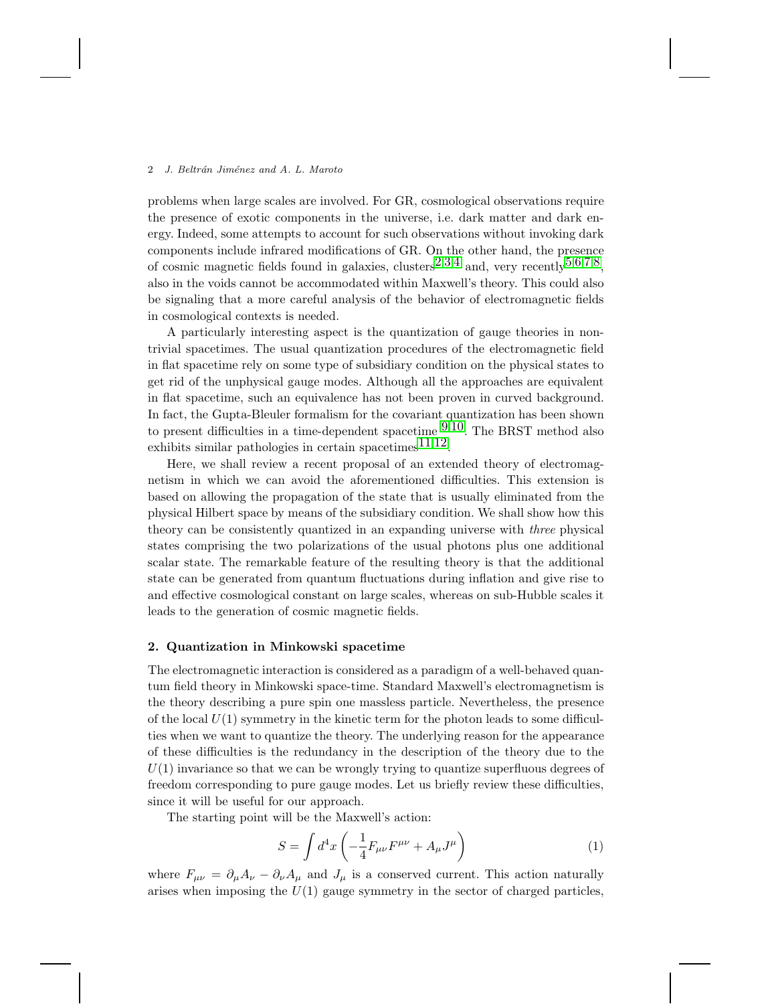problems when large scales are involved. For GR, cosmological observations require the presence of exotic components in the universe, i.e. dark matter and dark energy. Indeed, some attempts to account for such observations without invoking dark components include infrared modifications of GR. On the other hand, the presence of cosmic magnetic fields found in galaxies, clusters<sup>[2](#page-13-1),[3](#page-14-0),[4](#page-14-1)</sup> and, very recently<sup>[5](#page-14-2),[6](#page-14-3),[7](#page-14-4),8</sup>. also in the voids cannot be accommodated within Maxwell's theory. This could also be signaling that a more careful analysis of the behavior of electromagnetic fields in cosmological contexts is needed.

A particularly interesting aspect is the quantization of gauge theories in nontrivial spacetimes. The usual quantization procedures of the electromagnetic field in flat spacetime rely on some type of subsidiary condition on the physical states to get rid of the unphysical gauge modes. Although all the approaches are equivalent in flat spacetime, such an equivalence has not been proven in curved background. In fact, the Gupta-Bleuler formalism for the covariant quantization has been shown to present difficulties in a time-dependent spacetime  $9,10$  $9,10$ . The BRST method also exhibits similar pathologies in certain spacetimes<sup>[11](#page-14-8),12</sup>.

Here, we shall review a recent proposal of an extended theory of electromagnetism in which we can avoid the aforementioned difficulties. This extension is based on allowing the propagation of the state that is usually eliminated from the physical Hilbert space by means of the subsidiary condition. We shall show how this theory can be consistently quantized in an expanding universe with three physical states comprising the two polarizations of the usual photons plus one additional scalar state. The remarkable feature of the resulting theory is that the additional state can be generated from quantum fluctuations during inflation and give rise to and effective cosmological constant on large scales, whereas on sub-Hubble scales it leads to the generation of cosmic magnetic fields.

## 2. Quantization in Minkowski spacetime

The electromagnetic interaction is considered as a paradigm of a well-behaved quantum field theory in Minkowski space-time. Standard Maxwell's electromagnetism is the theory describing a pure spin one massless particle. Nevertheless, the presence of the local  $U(1)$  symmetry in the kinetic term for the photon leads to some difficulties when we want to quantize the theory. The underlying reason for the appearance of these difficulties is the redundancy in the description of the theory due to the  $U(1)$  invariance so that we can be wrongly trying to quantize superfluous degrees of freedom corresponding to pure gauge modes. Let us briefly review these difficulties, since it will be useful for our approach.

The starting point will be the Maxwell's action:

<span id="page-1-0"></span>
$$
S = \int d^4x \left( -\frac{1}{4} F_{\mu\nu} F^{\mu\nu} + A_\mu J^\mu \right) \tag{1}
$$

where  $F_{\mu\nu} = \partial_{\mu}A_{\nu} - \partial_{\nu}A_{\mu}$  and  $J_{\mu}$  is a conserved current. This action naturally arises when imposing the  $U(1)$  gauge symmetry in the sector of charged particles,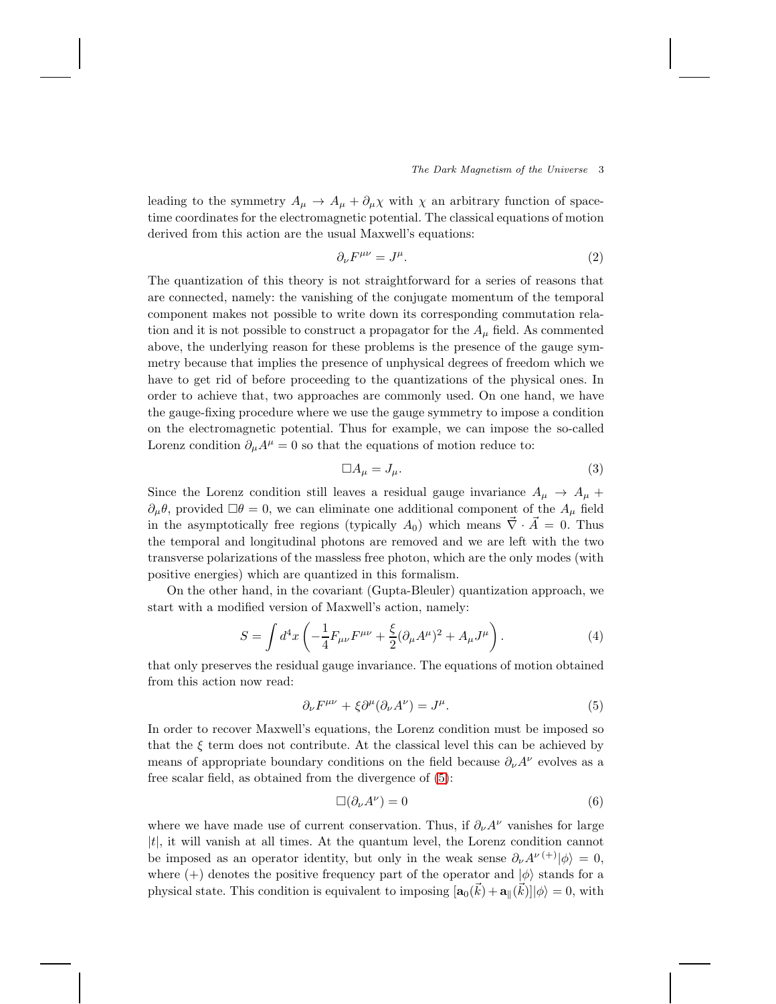leading to the symmetry  $A_{\mu} \to A_{\mu} + \partial_{\mu} \chi$  with  $\chi$  an arbitrary function of spacetime coordinates for the electromagnetic potential. The classical equations of motion derived from this action are the usual Maxwell's equations:

$$
\partial_{\nu}F^{\mu\nu} = J^{\mu}.\tag{2}
$$

The quantization of this theory is not straightforward for a series of reasons that are connected, namely: the vanishing of the conjugate momentum of the temporal component makes not possible to write down its corresponding commutation relation and it is not possible to construct a propagator for the  $A_\mu$  field. As commented above, the underlying reason for these problems is the presence of the gauge symmetry because that implies the presence of unphysical degrees of freedom which we have to get rid of before proceeding to the quantizations of the physical ones. In order to achieve that, two approaches are commonly used. On one hand, we have the gauge-fixing procedure where we use the gauge symmetry to impose a condition on the electromagnetic potential. Thus for example, we can impose the so-called Lorenz condition  $\partial_{\mu}A^{\mu} = 0$  so that the equations of motion reduce to:

$$
\Box A_{\mu} = J_{\mu}.\tag{3}
$$

Since the Lorenz condition still leaves a residual gauge invariance  $A_{\mu} \rightarrow A_{\mu} +$  $\partial_{\mu}\theta$ , provided  $\square \theta = 0$ , we can eliminate one additional component of the  $A_{\mu}$  field in the asymptotically free regions (typically  $A_0$ ) which means  $\vec{\nabla} \cdot \vec{A} = 0$ . Thus the temporal and longitudinal photons are removed and we are left with the two transverse polarizations of the massless free photon, which are the only modes (with positive energies) which are quantized in this formalism.

On the other hand, in the covariant (Gupta-Bleuler) quantization approach, we start with a modified version of Maxwell's action, namely:

<span id="page-2-1"></span>
$$
S = \int d^4x \left( -\frac{1}{4} F_{\mu\nu} F^{\mu\nu} + \frac{\xi}{2} (\partial_\mu A^\mu)^2 + A_\mu J^\mu \right). \tag{4}
$$

that only preserves the residual gauge invariance. The equations of motion obtained from this action now read:

<span id="page-2-0"></span>
$$
\partial_{\nu}F^{\mu\nu} + \xi \partial^{\mu}(\partial_{\nu}A^{\nu}) = J^{\mu}.
$$
\n(5)

In order to recover Maxwell's equations, the Lorenz condition must be imposed so that the  $\xi$  term does not contribute. At the classical level this can be achieved by means of appropriate boundary conditions on the field because  $\partial_{\nu}A^{\nu}$  evolves as a free scalar field, as obtained from the divergence of [\(5\)](#page-2-0):

$$
\Box(\partial_{\nu}A^{\nu})=0\tag{6}
$$

where we have made use of current conservation. Thus, if  $\partial_{\nu}A^{\nu}$  vanishes for large  $|t|$ , it will vanish at all times. At the quantum level, the Lorenz condition cannot be imposed as an operator identity, but only in the weak sense  $\partial_{\nu}A^{\nu}(+)|\phi\rangle = 0$ , where (+) denotes the positive frequency part of the operator and  $|\phi\rangle$  stands for a physical state. This condition is equivalent to imposing  $[\mathbf{a}_0(\vec{k}) + \mathbf{a}_{\parallel}(\vec{k})] |\phi\rangle = 0$ , with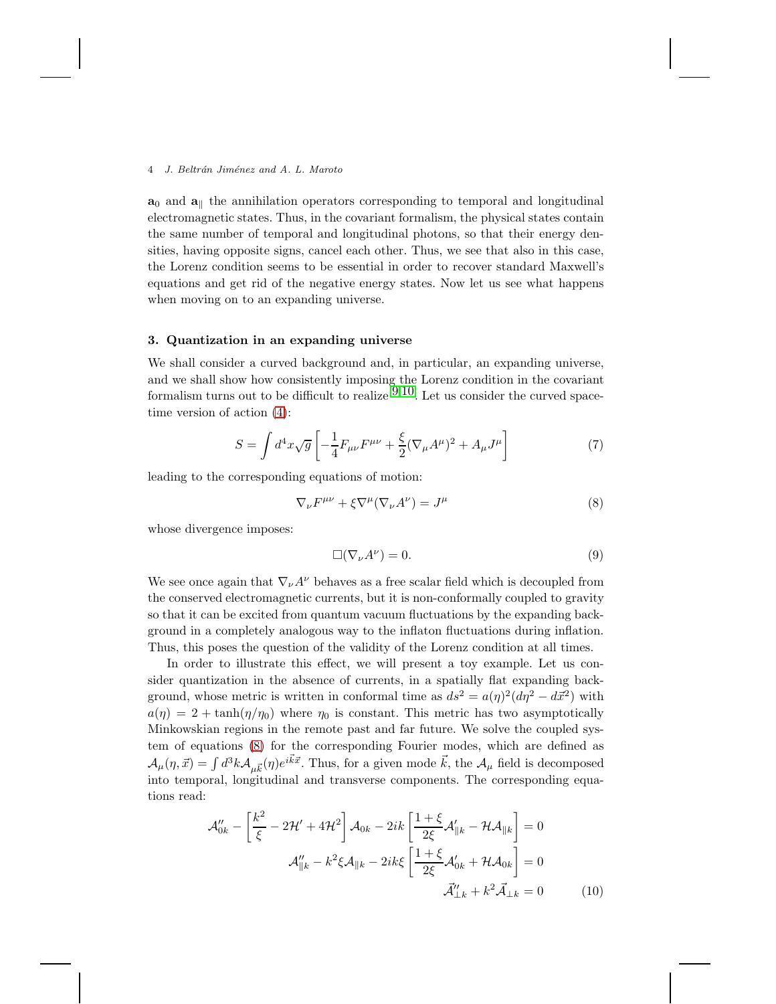$a_0$  and  $a_{\parallel}$  the annihilation operators corresponding to temporal and longitudinal electromagnetic states. Thus, in the covariant formalism, the physical states contain the same number of temporal and longitudinal photons, so that their energy densities, having opposite signs, cancel each other. Thus, we see that also in this case, the Lorenz condition seems to be essential in order to recover standard Maxwell's equations and get rid of the negative energy states. Now let us see what happens when moving on to an expanding universe.

# 3. Quantization in an expanding universe

We shall consider a curved background and, in particular, an expanding universe, and we shall show how consistently imposing the Lorenz condition in the covariant formalism turns out to be difficult to realize  $9,10$  $9,10$ . Let us consider the curved spacetime version of action [\(4\)](#page-2-1):

<span id="page-3-2"></span>
$$
S = \int d^4x \sqrt{g} \left[ -\frac{1}{4} F_{\mu\nu} F^{\mu\nu} + \frac{\xi}{2} (\nabla_{\mu} A^{\mu})^2 + A_{\mu} J^{\mu} \right]
$$
(7)

leading to the corresponding equations of motion:

<span id="page-3-0"></span>
$$
\nabla_{\nu}F^{\mu\nu} + \xi \nabla^{\mu} (\nabla_{\nu}A^{\nu}) = J^{\mu} \tag{8}
$$

whose divergence imposes:

<span id="page-3-1"></span>
$$
\Box(\nabla_{\nu}A^{\nu})=0.\t\t(9)
$$

We see once again that  $\nabla_{\nu}A^{\nu}$  behaves as a free scalar field which is decoupled from the conserved electromagnetic currents, but it is non-conformally coupled to gravity so that it can be excited from quantum vacuum fluctuations by the expanding background in a completely analogous way to the inflaton fluctuations during inflation. Thus, this poses the question of the validity of the Lorenz condition at all times.

In order to illustrate this effect, we will present a toy example. Let us consider quantization in the absence of currents, in a spatially flat expanding background, whose metric is written in conformal time as  $ds^2 = a(\eta)^2 (d\eta^2 - d\vec{x}^2)$  with  $a(\eta) = 2 + \tanh(\eta/\eta_0)$  where  $\eta_0$  is constant. This metric has two asymptotically Minkowskian regions in the remote past and far future. We solve the coupled system of equations [\(8\)](#page-3-0) for the corresponding Fourier modes, which are defined as  $\mathcal{A}_{\mu}(\eta,\vec{x}) = \int d^3k \mathcal{A}_{\mu\vec{k}}(\eta)e^{i\vec{k}\vec{x}}$ . Thus, for a given mode  $\vec{k}$ , the  $\mathcal{A}_{\mu}$  field is decomposed into temporal, longitudinal and transverse components. The corresponding equations read:

$$
\mathcal{A}_{0k}'' - \left[\frac{k^2}{\xi} - 2\mathcal{H}' + 4\mathcal{H}^2\right] \mathcal{A}_{0k} - 2ik \left[\frac{1+\xi}{2\xi} \mathcal{A}_{\parallel k}' - \mathcal{H}\mathcal{A}_{\parallel k}\right] = 0
$$

$$
\mathcal{A}_{\parallel k}'' - k^2 \xi \mathcal{A}_{\parallel k} - 2ik \xi \left[\frac{1+\xi}{2\xi} \mathcal{A}_{0k}' + \mathcal{H}\mathcal{A}_{0k}\right] = 0
$$

$$
\vec{\mathcal{A}}_{\perp k}'' + k^2 \vec{\mathcal{A}}_{\perp k} = 0 \tag{10}
$$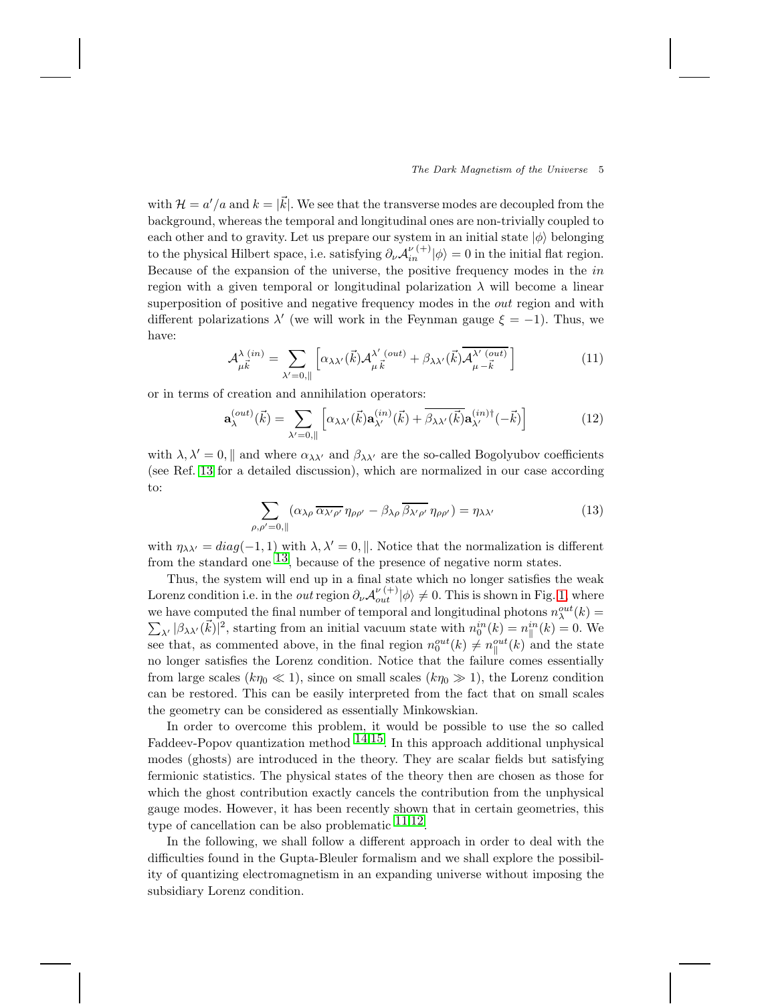with  $\mathcal{H} = a'/a$  and  $k = |\vec{k}|$ . We see that the transverse modes are decoupled from the background, whereas the temporal and longitudinal ones are non-trivially coupled to each other and to gravity. Let us prepare our system in an initial state  $|\phi\rangle$  belonging to the physical Hilbert space, i.e. satisfying  $\partial_{\nu} \mathcal{A}_{in}^{\nu}(+|\phi\rangle = 0$  in the initial flat region. Because of the expansion of the universe, the positive frequency modes in the in region with a given temporal or longitudinal polarization  $\lambda$  will become a linear superposition of positive and negative frequency modes in the out region and with different polarizations  $\lambda'$  (we will work in the Feynman gauge  $\xi = -1$ ). Thus, we have:

$$
\mathcal{A}_{\mu\vec{k}}^{\lambda\,(in)} = \sum_{\lambda'=0,\parallel} \left[ \alpha_{\lambda\lambda'}(\vec{k}) \mathcal{A}_{\mu\,\vec{k}}^{\lambda'\,(out)} + \beta_{\lambda\lambda'}(\vec{k}) \overline{\mathcal{A}_{\mu-\vec{k}}^{\lambda'\,(out)}} \right] \tag{11}
$$

or in terms of creation and annihilation operators:

$$
\mathbf{a}_{\lambda}^{(out)}(\vec{k}) = \sum_{\lambda'=0,\parallel} \left[ \alpha_{\lambda\lambda'}(\vec{k}) \mathbf{a}_{\lambda'}^{(in)}(\vec{k}) + \overline{\beta_{\lambda\lambda'}(\vec{k})} \mathbf{a}_{\lambda'}^{(in)\dagger}(-\vec{k}) \right] \tag{12}
$$

with  $\lambda, \lambda' = 0$ , and where  $\alpha_{\lambda\lambda'}$  and  $\beta_{\lambda\lambda'}$  are the so-called Bogolyubov coefficients (see Ref. [13](#page-14-10) for a detailed discussion), which are normalized in our case according to:

$$
\sum_{\rho,\rho'=0,\parallel} (\alpha_{\lambda\rho} \, \overline{\alpha_{\lambda'\rho'}} \, \eta_{\rho\rho'} - \beta_{\lambda\rho} \, \overline{\beta_{\lambda'\rho'}} \, \eta_{\rho\rho'}) = \eta_{\lambda\lambda'} \tag{13}
$$

with  $\eta_{\lambda\lambda'} = diag(-1,1)$  with  $\lambda, \lambda' = 0$ , ||. Notice that the normalization is different from the standard one  $^{13}$ , because of the presence of negative norm states.

Thus, the system will end up in a final state which no longer satisfies the weak Lorenz condition i.e. in the *out* region  $\partial_{\nu} A_{out}^{\nu}(\cdot|\phi) \neq 0$ . This is shown in Fig. [1,](#page-5-0) where we have computed the final number of temporal and longitudinal photons  $n_{\lambda}^{out}(k)$  =  $\sum_{\lambda'} |\beta_{\lambda\lambda'}(\vec{k})|^2$ , starting from an initial vacuum state with  $n_0^{in}(k) = n_{\parallel}^{in}$  $\int_{\parallel}^{in} (k) = 0.$  We see that, as commented above, in the final region  $n_0^{out}(k) \neq n_{\parallel}^{out}(k)$  and the state no longer satisfies the Lorenz condition. Notice that the failure comes essentially from large scales ( $k\eta_0 \ll 1$ ), since on small scales ( $k\eta_0 \gg 1$ ), the Lorenz condition can be restored. This can be easily interpreted from the fact that on small scales the geometry can be considered as essentially Minkowskian.

In order to overcome this problem, it would be possible to use the so called Faddeev-Popov quantization method  $^{14,15}$  $^{14,15}$  $^{14,15}$ . In this approach additional unphysical modes (ghosts) are introduced in the theory. They are scalar fields but satisfying fermionic statistics. The physical states of the theory then are chosen as those for which the ghost contribution exactly cancels the contribution from the unphysical gauge modes. However, it has been recently shown that in certain geometries, this type of cancellation can be also problematic  $11,12$  $11,12$ .

In the following, we shall follow a different approach in order to deal with the difficulties found in the Gupta-Bleuler formalism and we shall explore the possibility of quantizing electromagnetism in an expanding universe without imposing the subsidiary Lorenz condition.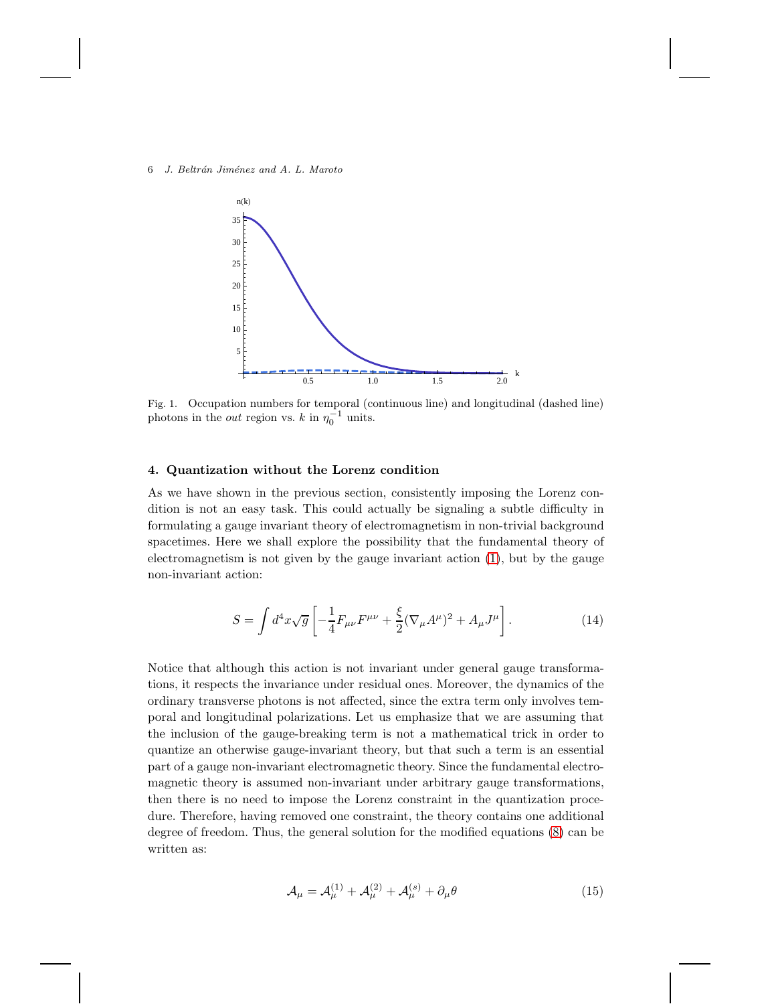6 J. Beltrán Jiménez and A. L. Maroto



<span id="page-5-0"></span>Fig. 1. Occupation numbers for temporal (continuous line) and longitudinal (dashed line) photons in the *out* region vs.  $k$  in  $\eta_0^{-1}$  units.

## 4. Quantization without the Lorenz condition

As we have shown in the previous section, consistently imposing the Lorenz condition is not an easy task. This could actually be signaling a subtle difficulty in formulating a gauge invariant theory of electromagnetism in non-trivial background spacetimes. Here we shall explore the possibility that the fundamental theory of electromagnetism is not given by the gauge invariant action [\(1\)](#page-1-0), but by the gauge non-invariant action:

$$
S = \int d^4x \sqrt{g} \left[ -\frac{1}{4} F_{\mu\nu} F^{\mu\nu} + \frac{\xi}{2} (\nabla_{\mu} A^{\mu})^2 + A_{\mu} J^{\mu} \right]. \tag{14}
$$

Notice that although this action is not invariant under general gauge transformations, it respects the invariance under residual ones. Moreover, the dynamics of the ordinary transverse photons is not affected, since the extra term only involves temporal and longitudinal polarizations. Let us emphasize that we are assuming that the inclusion of the gauge-breaking term is not a mathematical trick in order to quantize an otherwise gauge-invariant theory, but that such a term is an essential part of a gauge non-invariant electromagnetic theory. Since the fundamental electromagnetic theory is assumed non-invariant under arbitrary gauge transformations, then there is no need to impose the Lorenz constraint in the quantization procedure. Therefore, having removed one constraint, the theory contains one additional degree of freedom. Thus, the general solution for the modified equations [\(8\)](#page-3-0) can be written as:

$$
\mathcal{A}_{\mu} = \mathcal{A}_{\mu}^{(1)} + \mathcal{A}_{\mu}^{(2)} + \mathcal{A}_{\mu}^{(s)} + \partial_{\mu}\theta
$$
\n(15)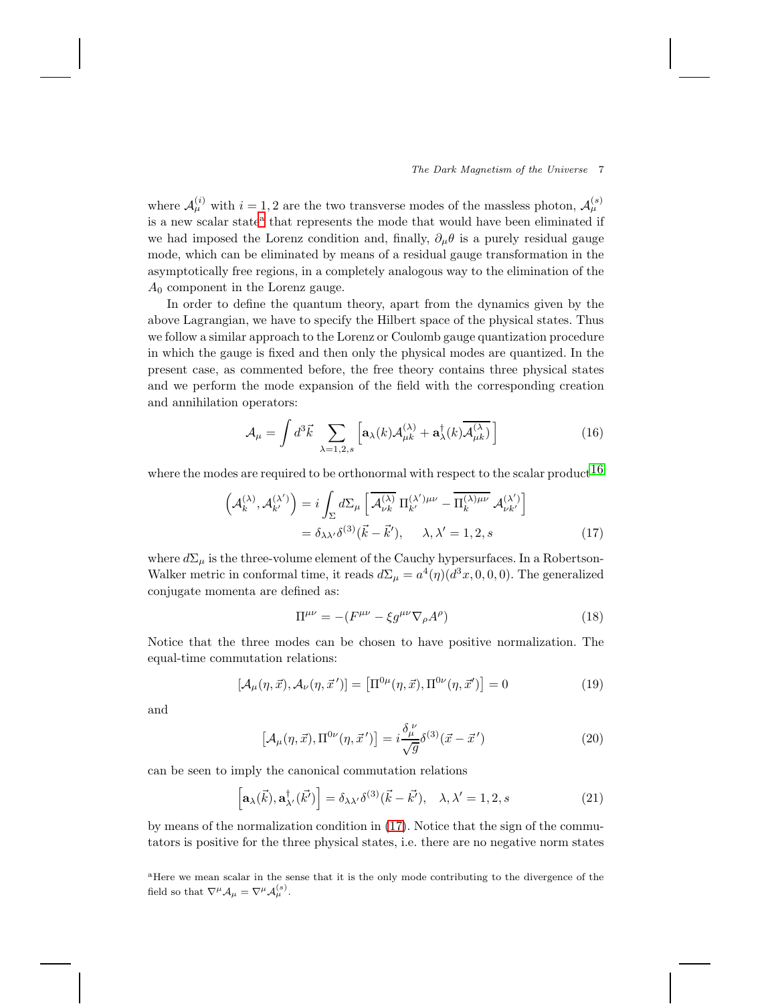where  $\mathcal{A}_{\mu}^{(i)}$  with  $i = 1, 2$  are the two transverse modes of the massless photon,  $\mathcal{A}_{\mu}^{(s)}$ is [a](#page-6-0) new scalar state<sup>a</sup> that represents the mode that would have been eliminated if we had imposed the Lorenz condition and, finally,  $\partial_{\mu}\theta$  is a purely residual gauge mode, which can be eliminated by means of a residual gauge transformation in the asymptotically free regions, in a completely analogous way to the elimination of the  $A_0$  component in the Lorenz gauge.

In order to define the quantum theory, apart from the dynamics given by the above Lagrangian, we have to specify the Hilbert space of the physical states. Thus we follow a similar approach to the Lorenz or Coulomb gauge quantization procedure in which the gauge is fixed and then only the physical modes are quantized. In the present case, as commented before, the free theory contains three physical states and we perform the mode expansion of the field with the corresponding creation and annihilation operators:

$$
\mathcal{A}_{\mu} = \int d^3 \vec{k} \sum_{\lambda=1,2,s} \left[ \mathbf{a}_{\lambda}(k) \mathcal{A}_{\mu k}^{(\lambda)} + \mathbf{a}_{\lambda}^{\dagger}(k) \overline{\mathcal{A}_{\mu k}^{(\lambda)}} \right]
$$
(16)

where the modes are required to be orthonormal with respect to the scalar product  $16$ 

<span id="page-6-1"></span>
$$
\left(\mathcal{A}_{k}^{(\lambda)},\mathcal{A}_{k'}^{(\lambda')}\right) = i \int_{\Sigma} d\Sigma_{\mu} \left[\overline{\mathcal{A}_{\nu k}^{(\lambda)}} \Pi_{k'}^{(\lambda')\mu\nu} - \overline{\Pi_{k}^{(\lambda)\mu\nu}} \mathcal{A}_{\nu k'}^{(\lambda')}\right]
$$

$$
= \delta_{\lambda\lambda'} \delta^{(3)}(\vec{k} - \vec{k}'), \quad \lambda, \lambda' = 1, 2, s \tag{17}
$$

where  $d\Sigma_{\mu}$  is the three-volume element of the Cauchy hypersurfaces. In a Robertson-Walker metric in conformal time, it reads  $d\Sigma_{\mu} = a^4(\eta)(d^3x, 0, 0, 0)$ . The generalized conjugate momenta are defined as:

$$
\Pi^{\mu\nu} = -(F^{\mu\nu} - \xi g^{\mu\nu} \nabla_{\rho} A^{\rho}) \tag{18}
$$

Notice that the three modes can be chosen to have positive normalization. The equal-time commutation relations:

$$
[\mathcal{A}_{\mu}(\eta,\vec{x}), \mathcal{A}_{\nu}(\eta,\vec{x}')] = [\Pi^{0\mu}(\eta,\vec{x}), \Pi^{0\nu}(\eta,\vec{x}')] = 0 \tag{19}
$$

and

$$
\left[\mathcal{A}_{\mu}(\eta,\vec{x}),\Pi^{0\nu}(\eta,\vec{x}')\right] = i\frac{\delta^{\nu}_{\mu}}{\sqrt{g}}\delta^{(3)}(\vec{x}-\vec{x}')
$$
\n(20)

can be seen to imply the canonical commutation relations

$$
\left[\mathbf{a}_{\lambda}(\vec{k}), \mathbf{a}^{\dagger}_{\lambda'}(\vec{k'})\right] = \delta_{\lambda\lambda'}\delta^{(3)}(\vec{k}-\vec{k'}), \quad \lambda, \lambda' = 1, 2, s \tag{21}
$$

by means of the normalization condition in [\(17\)](#page-6-1). Notice that the sign of the commutators is positive for the three physical states, i.e. there are no negative norm states

<span id="page-6-0"></span><sup>a</sup>Here we mean scalar in the sense that it is the only mode contributing to the divergence of the field so that  $\nabla^{\mu} A_{\mu} = \nabla^{\mu} A_{\mu}^{(s)}$ .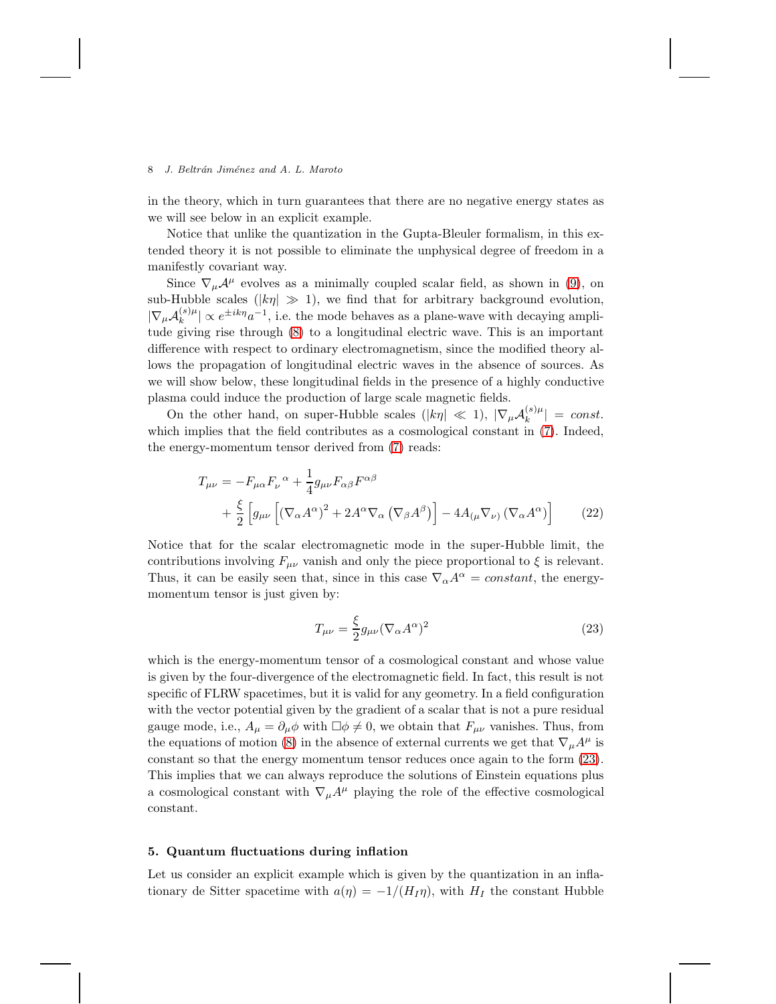in the theory, which in turn guarantees that there are no negative energy states as we will see below in an explicit example.

Notice that unlike the quantization in the Gupta-Bleuler formalism, in this extended theory it is not possible to eliminate the unphysical degree of freedom in a manifestly covariant way.

Since  $\nabla_{\mu}A^{\mu}$  evolves as a minimally coupled scalar field, as shown in [\(9\)](#page-3-1), on sub-Hubble scales ( $|k\eta| \gg 1$ ), we find that for arbitrary background evolution,  $|\nabla_{\mu}{\cal A}^{(s)}_k\mu$  $\|k^{(s)}\| \propto e^{\pm i k \eta} a^{-1}$ , i.e. the mode behaves as a plane-wave with decaying amplitude giving rise through [\(8\)](#page-3-0) to a longitudinal electric wave. This is an important difference with respect to ordinary electromagnetism, since the modified theory allows the propagation of longitudinal electric waves in the absence of sources. As we will show below, these longitudinal fields in the presence of a highly conductive plasma could induce the production of large scale magnetic fields.

On the other hand, on super-Hubble scales ( $|k\eta| \ll 1$ ),  $|\nabla_{\mu} \mathcal{A}_k^{(s)\mu}$  $|k^{(s)\mu}| = const.$ which implies that the field contributes as a cosmological constant in  $(7)$ . Indeed, the energy-momentum tensor derived from [\(7\)](#page-3-2) reads:

$$
T_{\mu\nu} = -F_{\mu\alpha}F_{\nu}^{\ \alpha} + \frac{1}{4}g_{\mu\nu}F_{\alpha\beta}F^{\alpha\beta} + \frac{\xi}{2}\left[g_{\mu\nu}\left[(\nabla_{\alpha}A^{\alpha})^2 + 2A^{\alpha}\nabla_{\alpha}\left(\nabla_{\beta}A^{\beta}\right)\right] - 4A_{(\mu}\nabla_{\nu)}\left(\nabla_{\alpha}A^{\alpha}\right)\right]
$$
(22)

Notice that for the scalar electromagnetic mode in the super-Hubble limit, the contributions involving  $F_{\mu\nu}$  vanish and only the piece proportional to  $\xi$  is relevant. Thus, it can be easily seen that, since in this case  $\nabla_{\alpha}A^{\alpha} = constant$ , the energymomentum tensor is just given by:

<span id="page-7-0"></span>
$$
T_{\mu\nu} = \frac{\xi}{2} g_{\mu\nu} (\nabla_{\alpha} A^{\alpha})^2
$$
 (23)

which is the energy-momentum tensor of a cosmological constant and whose value is given by the four-divergence of the electromagnetic field. In fact, this result is not specific of FLRW spacetimes, but it is valid for any geometry. In a field configuration with the vector potential given by the gradient of a scalar that is not a pure residual gauge mode, i.e.,  $A_{\mu} = \partial_{\mu} \phi$  with  $\Box \phi \neq 0$ , we obtain that  $F_{\mu\nu}$  vanishes. Thus, from the equations of motion [\(8\)](#page-3-0) in the absence of external currents we get that  $\nabla_{\mu}A^{\mu}$  is constant so that the energy momentum tensor reduces once again to the form [\(23\)](#page-7-0). This implies that we can always reproduce the solutions of Einstein equations plus a cosmological constant with  $\nabla_{\mu}A^{\mu}$  playing the role of the effective cosmological constant.

### 5. Quantum fluctuations during inflation

Let us consider an explicit example which is given by the quantization in an inflationary de Sitter spacetime with  $a(\eta) = -1/(H_I \eta)$ , with  $H_I$  the constant Hubble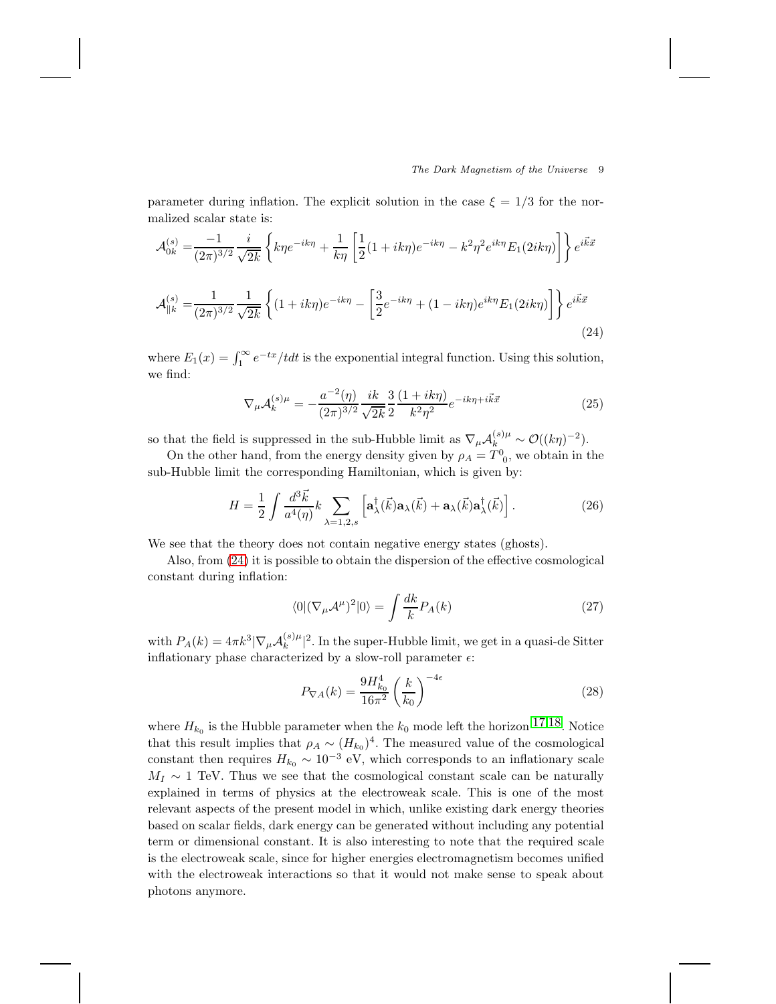parameter during inflation. The explicit solution in the case  $\xi = 1/3$  for the normalized scalar state is:

$$
\mathcal{A}_{0k}^{(s)} = \frac{-1}{(2\pi)^{3/2}} \frac{i}{\sqrt{2k}} \left\{ k\eta e^{-ik\eta} + \frac{1}{k\eta} \left[ \frac{1}{2} (1 + ik\eta) e^{-ik\eta} - k^2 \eta^2 e^{ik\eta} E_1(2ik\eta) \right] \right\} e^{i\vec{k}\vec{x}}
$$

$$
\mathcal{A}_{\parallel k}^{(s)} = \frac{1}{(2\pi)^{3/2}} \frac{1}{\sqrt{2k}} \left\{ (1 + ik\eta) e^{-ik\eta} - \left[ \frac{3}{2} e^{-ik\eta} + (1 - ik\eta) e^{ik\eta} E_1(2ik\eta) \right] \right\} e^{i\vec{k}\vec{x}}
$$
(24)

where  $E_1(x) = \int_1^{\infty} e^{-tx}/t dt$  is the exponential integral function. Using this solution, we find:

<span id="page-8-0"></span>
$$
\nabla_{\mu} \mathcal{A}_{k}^{(s)\mu} = -\frac{a^{-2}(\eta)}{(2\pi)^{3/2}} \frac{ik}{\sqrt{2k}} \frac{3}{2} \frac{(1+ik\eta)}{k^2 \eta^2} e^{-ik\eta + i\vec{k}\vec{x}} \tag{25}
$$

so that the field is suppressed in the sub-Hubble limit as  $\nabla_{\mu} \mathcal{A}_{k}^{(s)\mu} \sim \mathcal{O}((k\eta)^{-2}).$ 

On the other hand, from the energy density given by  $\rho_A = T^0_{\phantom{0}0}$ , we obtain in the sub-Hubble limit the corresponding Hamiltonian, which is given by:

$$
H = \frac{1}{2} \int \frac{d^3 \vec{k}}{a^4(\eta)} k \sum_{\lambda=1,2,s} \left[ \mathbf{a}^\dagger_{\lambda}(\vec{k}) \mathbf{a}_{\lambda}(\vec{k}) + \mathbf{a}_{\lambda}(\vec{k}) \mathbf{a}^\dagger_{\lambda}(\vec{k}) \right]. \tag{26}
$$

We see that the theory does not contain negative energy states (ghosts).

Also, from [\(24\)](#page-8-0) it is possible to obtain the dispersion of the effective cosmological constant during inflation:

$$
\langle 0 | (\nabla_{\mu} \mathcal{A}^{\mu})^2 | 0 \rangle = \int \frac{dk}{k} P_A(k) \tag{27}
$$

with  $P_A(k) = 4\pi k^3 |\nabla_\mu \mathcal{A}_k^{(s)}|$  $\int_k^{(s)\mu}$  2. In the super-Hubble limit, we get in a quasi-de Sitter inflationary phase characterized by a slow-roll parameter  $\epsilon$ :

<span id="page-8-1"></span>
$$
P_{\nabla A}(k) = \frac{9H_{k_0}^4}{16\pi^2} \left(\frac{k}{k_0}\right)^{-4\epsilon} \tag{28}
$$

where  $H_{k_0}$  is the Hubble parameter when the  $k_0$  mode left the horizon  $17,18$  $17,18$ . Notice that this result implies that  $\rho_A \sim (H_{k_0})^4$ . The measured value of the cosmological constant then requires  $H_{k_0} \sim 10^{-3}$  eV, which corresponds to an inflationary scale  $M_I \sim 1$  TeV. Thus we see that the cosmological constant scale can be naturally explained in terms of physics at the electroweak scale. This is one of the most relevant aspects of the present model in which, unlike existing dark energy theories based on scalar fields, dark energy can be generated without including any potential term or dimensional constant. It is also interesting to note that the required scale is the electroweak scale, since for higher energies electromagnetism becomes unified with the electroweak interactions so that it would not make sense to speak about photons anymore.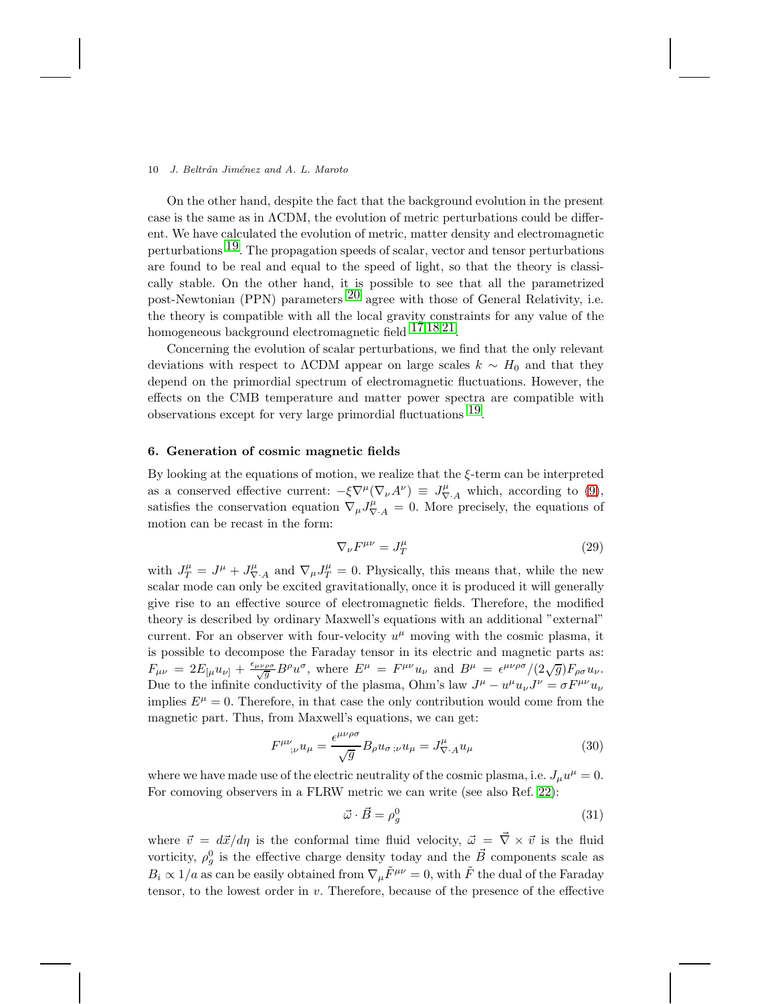On the other hand, despite the fact that the background evolution in the present case is the same as in  $\Lambda$ CDM, the evolution of metric perturbations could be different. We have calculated the evolution of metric, matter density and electromagnetic perturbations  $19$ . The propagation speeds of scalar, vector and tensor perturbations are found to be real and equal to the speed of light, so that the theory is classically stable. On the other hand, it is possible to see that all the parametrized post-Newtonian (PPN) parameters  $^{20}$  $^{20}$  $^{20}$  agree with those of General Relativity, i.e. the theory is compatible with all the local gravity constraints for any value of the homogeneous background electromagnetic field [17](#page-14-14),[18](#page-14-15),[21.](#page-14-18)

Concerning the evolution of scalar perturbations, we find that the only relevant deviations with respect to  $\Lambda$ CDM appear on large scales  $k \sim H_0$  and that they depend on the primordial spectrum of electromagnetic fluctuations. However, the effects on the CMB temperature and matter power spectra are compatible with observations except for very large primordial fluctuations [19.](#page-14-16)

# 6. Generation of cosmic magnetic fields

By looking at the equations of motion, we realize that the ξ-term can be interpreted as a conserved effective current:  $-\xi \nabla^{\mu}(\nabla_{\nu}A^{\nu}) \equiv J_{\nabla \cdot A}^{\mu}$  which, according to [\(9\)](#page-3-1), satisfies the conservation equation  $\nabla_{\mu} J_{\nabla A}^{\mu} = 0$ . More precisely, the equations of motion can be recast in the form:

$$
\nabla_{\nu}F^{\mu\nu} = J_T^{\mu} \tag{29}
$$

with  $J_T^{\mu} = J^{\mu} + J_{\nabla A}^{\mu}$  and  $\nabla_{\mu} J_T^{\mu} = 0$ . Physically, this means that, while the new scalar mode can only be excited gravitationally, once it is produced it will generally give rise to an effective source of electromagnetic fields. Therefore, the modified theory is described by ordinary Maxwell's equations with an additional "external" current. For an observer with four-velocity  $u^{\mu}$  moving with the cosmic plasma, it is possible to decompose the Faraday tensor in its electric and magnetic parts as:  $F_{\mu\nu} = 2E_{\lbrack\mu}u_{\nu\rbrack} + \frac{\epsilon_{\mu\nu\rho\sigma}}{\sqrt{g}}B^{\rho}u^{\sigma}$ , where  $E^{\mu} = F^{\mu\nu}u_{\nu}$  and  $B^{\mu} = \epsilon^{\mu\nu\rho\sigma}/(2\sqrt{g})F_{\rho\sigma}u_{\nu}$ . Due to the infinite conductivity of the plasma, Ohm's law  $J^{\mu} - u^{\mu} u_{\nu} J^{\nu} = \sigma F^{\mu\nu} u_{\nu}$ implies  $E^{\mu} = 0$ . Therefore, in that case the only contribution would come from the magnetic part. Thus, from Maxwell's equations, we can get:

$$
F^{\mu\nu}_{\quad;\nu}u_{\mu} = \frac{\epsilon^{\mu\nu\rho\sigma}}{\sqrt{g}} B_{\rho}u_{\sigma\;;\nu}u_{\mu} = J^{\mu}_{\nabla\cdot A}u_{\mu}
$$
\n
$$
\tag{30}
$$

where we have made use of the electric neutrality of the cosmic plasma, i.e.  $J_{\mu}u^{\mu} = 0$ . For comoving observers in a FLRW metric we can write (see also Ref. [22\)](#page-14-19):

<span id="page-9-0"></span>
$$
\vec{\omega} \cdot \vec{B} = \rho_g^0 \tag{31}
$$

where  $\vec{v} = d\vec{x}/d\eta$  is the conformal time fluid velocity,  $\vec{\omega} = \vec{\nabla} \times \vec{v}$  is the fluid vorticity,  $\rho_g^0$  is the effective charge density today and the  $\vec{B}$  components scale as  $B_i \propto 1/a$  as can be easily obtained from  $\nabla_{\mu} \tilde{F}^{\mu\nu} = 0$ , with  $\tilde{F}$  the dual of the Faraday tensor, to the lowest order in  $v$ . Therefore, because of the presence of the effective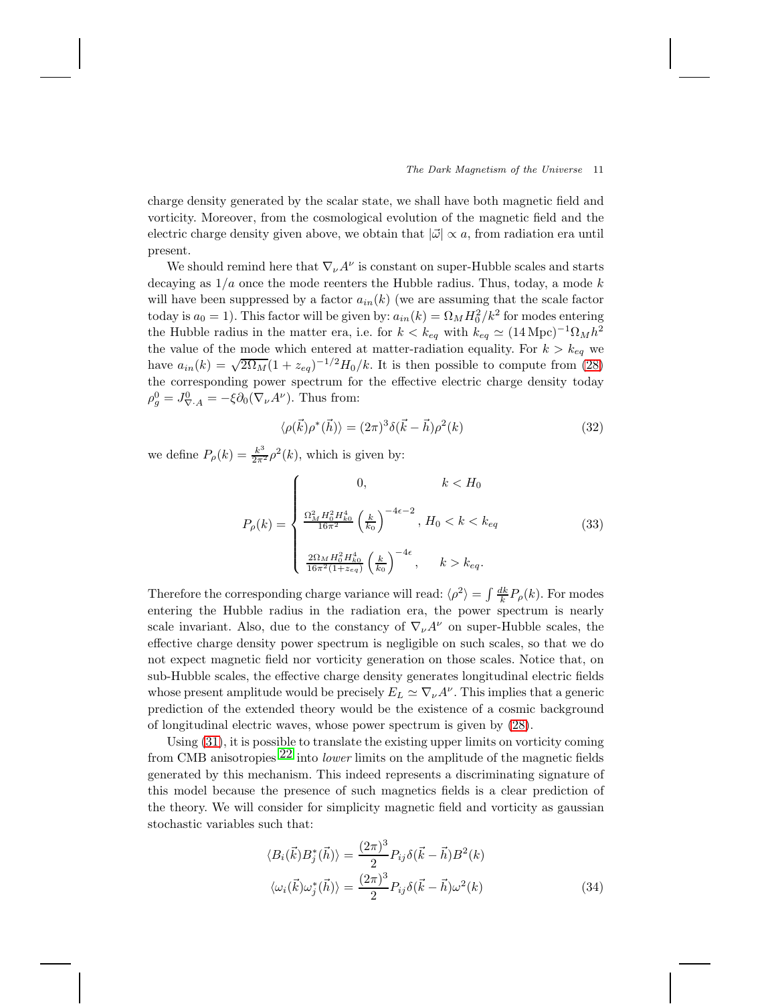charge density generated by the scalar state, we shall have both magnetic field and vorticity. Moreover, from the cosmological evolution of the magnetic field and the electric charge density given above, we obtain that  $|\vec{\omega}| \propto a$ , from radiation era until present.

We should remind here that  $\nabla_{\nu} A^{\nu}$  is constant on super-Hubble scales and starts decaying as  $1/a$  once the mode reenters the Hubble radius. Thus, today, a mode k will have been suppressed by a factor  $a_{in}(k)$  (we are assuming that the scale factor today is  $a_0 = 1$ ). This factor will be given by:  $a_{in}(k) = \Omega_M H_0^2 / k^2$  for modes entering the Hubble radius in the matter era, i.e. for  $k < k_{eq}$  with  $k_{eq} \simeq (14 \,\text{Mpc})^{-1} \Omega_M h^2$ the value of the mode which entered at matter-radiation equality. For  $k > k_{eq}$  we have  $a_{in}(k) = \sqrt{2\Omega_M}(1 + z_{eq})^{-1/2}H_0/k$ . It is then possible to compute from [\(28\)](#page-8-1) the corresponding power spectrum for the effective electric charge density today  $\rho_g^0 = J_{\nabla \cdot A}^0 = -\xi \partial_0 (\nabla_\nu A^\nu)$ . Thus from:

$$
\langle \rho(\vec{k}) \rho^*(\vec{h}) \rangle = (2\pi)^3 \delta(\vec{k} - \vec{h}) \rho^2(k)
$$
\n(32)

we define  $P_{\rho}(k) = \frac{k^3}{2\pi^2} \rho^2(k)$ , which is given by:

$$
P_{\rho}(k) = \begin{cases} 0, & k < H_0 \\ \frac{\Omega_M^2 H_0^2 H_{k0}^4}{16\pi^2} \left(\frac{k}{k_0}\right)^{-4\epsilon - 2}, & H_0 < k < k_{eq} \\ \frac{2\Omega_M H_0^2 H_{k0}^4}{16\pi^2 (1 + z_{eq})} \left(\frac{k}{k_0}\right)^{-4\epsilon}, & k > k_{eq}. \end{cases}
$$
(33)

Therefore the corresponding charge variance will read:  $\langle \rho^2 \rangle = \int \frac{dk}{k} P_{\rho}(k)$ . For modes entering the Hubble radius in the radiation era, the power spectrum is nearly scale invariant. Also, due to the constancy of  $\nabla_{\nu}A^{\nu}$  on super-Hubble scales, the effective charge density power spectrum is negligible on such scales, so that we do not expect magnetic field nor vorticity generation on those scales. Notice that, on sub-Hubble scales, the effective charge density generates longitudinal electric fields whose present amplitude would be precisely  $E_L \simeq \nabla_{\nu} A^{\nu}$ . This implies that a generic prediction of the extended theory would be the existence of a cosmic background of longitudinal electric waves, whose power spectrum is given by [\(28\)](#page-8-1).

Using [\(31\)](#page-9-0), it is possible to translate the existing upper limits on vorticity coming from CMB anisotropies  $22$  into *lower* limits on the amplitude of the magnetic fields generated by this mechanism. This indeed represents a discriminating signature of this model because the presence of such magnetics fields is a clear prediction of the theory. We will consider for simplicity magnetic field and vorticity as gaussian stochastic variables such that:

$$
\langle B_i(\vec{k})B_j^*(\vec{h})\rangle = \frac{(2\pi)^3}{2}P_{ij}\delta(\vec{k}-\vec{h})B^2(k)
$$
  

$$
\langle \omega_i(\vec{k})\omega_j^*(\vec{h})\rangle = \frac{(2\pi)^3}{2}P_{ij}\delta(\vec{k}-\vec{h})\omega^2(k)
$$
 (34)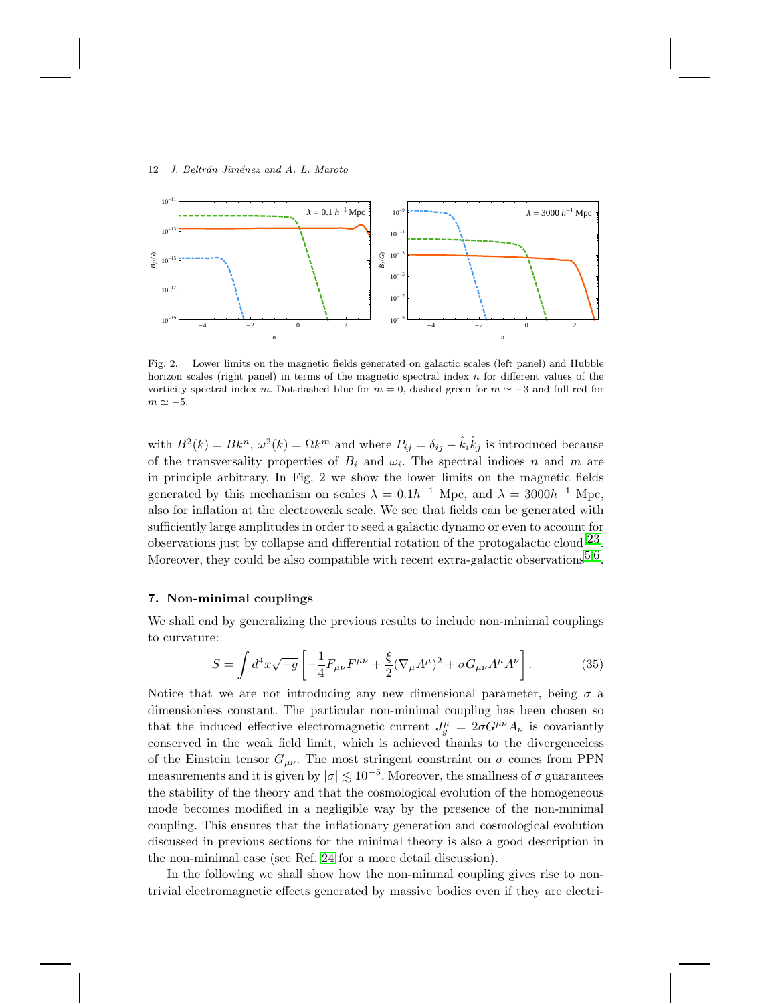

Fig. 2. Lower limits on the magnetic fields generated on galactic scales (left panel) and Hubble horizon scales (right panel) in terms of the magnetic spectral index  $n$  for different values of the vorticity spectral index m. Dot-dashed blue for  $m = 0$ , dashed green for  $m \simeq -3$  and full red for  $m \simeq -5$ .

with  $B^2(k) = Bk^n$ ,  $\omega^2(k) = \Omega k^m$  and where  $P_{ij} = \delta_{ij} - \hat{k}_i \hat{k}_j$  is introduced because of the transversality properties of  $B_i$  and  $\omega_i$ . The spectral indices n and m are in principle arbitrary. In Fig. 2 we show the lower limits on the magnetic fields generated by this mechanism on scales  $\lambda = 0.1h^{-1}$  Mpc, and  $\lambda = 3000h^{-1}$  Mpc, also for inflation at the electroweak scale. We see that fields can be generated with sufficiently large amplitudes in order to seed a galactic dynamo or even to account for observations just by collapse and differential rotation of the protogalactic cloud  $^{23}$ . Moreover, they could be also compatible with recent extra-galactic observations  $5.6$  $5.6$ .

## 7. Non-minimal couplings

We shall end by generalizing the previous results to include non-minimal couplings to curvature:

$$
S = \int d^4x \sqrt{-g} \left[ -\frac{1}{4} F_{\mu\nu} F^{\mu\nu} + \frac{\xi}{2} (\nabla_{\mu} A^{\mu})^2 + \sigma G_{\mu\nu} A^{\mu} A^{\nu} \right]. \tag{35}
$$

Notice that we are not introducing any new dimensional parameter, being  $\sigma$  a dimensionless constant. The particular non-minimal coupling has been chosen so that the induced effective electromagnetic current  $J_g^{\mu} = 2\sigma G^{\mu\nu} A_{\nu}$  is covariantly conserved in the weak field limit, which is achieved thanks to the divergenceless of the Einstein tensor  $G_{\mu\nu}$ . The most stringent constraint on  $\sigma$  comes from PPN measurements and it is given by  $|\sigma| \lesssim 10^{-5}$ . Moreover, the smallness of  $\sigma$  guarantees<br>the stability of the theory and that the segmelectical symbolic of the homogeneous the stability of the theory and that the cosmological evolution of the homogeneous mode becomes modified in a negligible way by the presence of the non-minimal coupling. This ensures that the inflationary generation and cosmological evolution discussed in previous sections for the minimal theory is also a good description in the non-minimal case (see Ref. [24](#page-14-21) for a more detail discussion).

In the following we shall show how the non-minmal coupling gives rise to nontrivial electromagnetic effects generated by massive bodies even if they are electri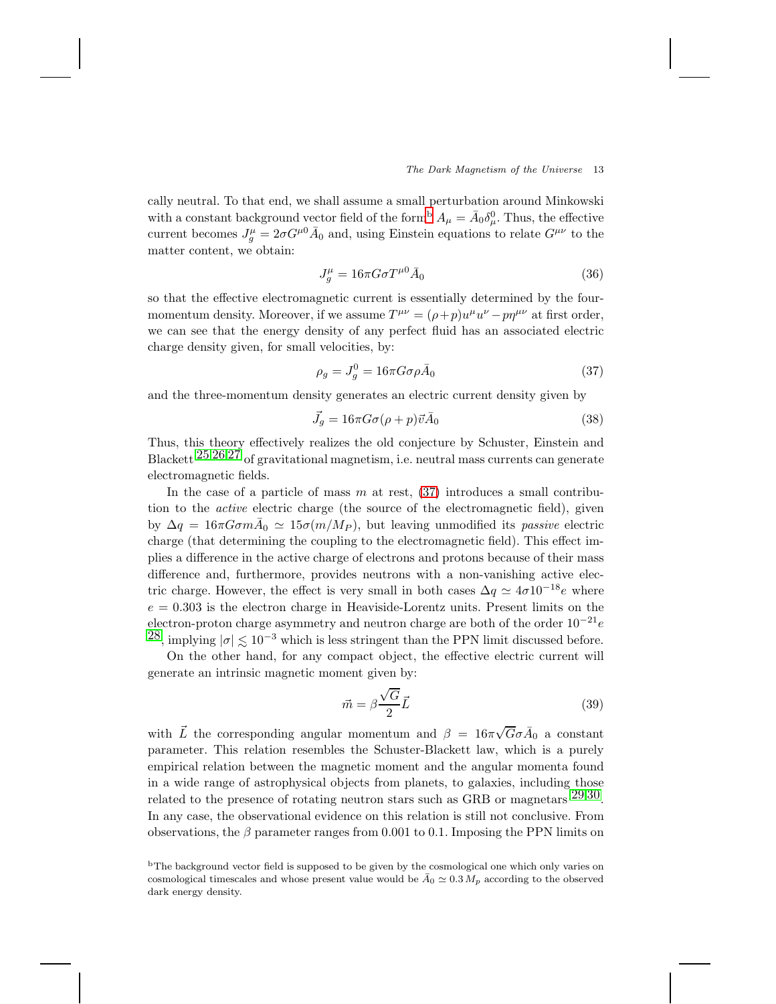cally neutral. To that end, we shall assume a small perturbation around Minkowski with a constant [b](#page-12-0)ackground vector field of the form<sup>b</sup>  $A_{\mu} = \bar{A}_0 \delta_{\mu}^0$ . Thus, the effective current becomes  $J_g^{\mu} = 2\sigma G^{\mu 0} \bar{A}_0$  and, using Einstein equations to relate  $G^{\mu\nu}$  to the matter content, we obtain:

$$
J_g^{\mu} = 16\pi G\sigma T^{\mu 0} \bar{A}_0 \tag{36}
$$

so that the effective electromagnetic current is essentially determined by the fourmomentum density. Moreover, if we assume  $T^{\mu\nu} = (\rho + p)u^{\mu}u^{\nu} - p\eta^{\mu\nu}$  at first order, we can see that the energy density of any perfect fluid has an associated electric charge density given, for small velocities, by:

<span id="page-12-1"></span>
$$
\rho_g = J_g^0 = 16\pi G \sigma \rho \bar{A}_0 \tag{37}
$$

and the three-momentum density generates an electric current density given by

$$
\vec{J}_g = 16\pi G\sigma(\rho + p)\vec{v}\vec{A}_0\tag{38}
$$

Thus, this theory effectively realizes the old conjecture by Schuster, Einstein and Blackett [25](#page-14-22),[26](#page-14-23),[27](#page-14-24) of gravitational magnetism, i.e. neutral mass currents can generate electromagnetic fields.

In the case of a particle of mass  $m$  at rest,  $(37)$  introduces a small contribution to the active electric charge (the source of the electromagnetic field), given by  $\Delta q = 16\pi G \sigma m \bar{A}_0 \simeq 15 \sigma (m/M_P)$ , but leaving unmodified its passive electric charge (that determining the coupling to the electromagnetic field). This effect implies a difference in the active charge of electrons and protons because of their mass difference and, furthermore, provides neutrons with a non-vanishing active electric charge. However, the effect is very small in both cases  $\Delta q \simeq 4\sigma 10^{-18}e$  where  $e = 0.303$  is the electron charge in Heaviside-Lorentz units. Present limits on the electron-proton charge asymmetry and neutron charge are both of the order  $10^{-21}e$  $^{28}$ , implying  $|\sigma| \lesssim 10^{-3}$  which is less stringent than the PPN limit discussed before.

On the other hand, for any compact object, the effective electric current will generate an intrinsic magnetic moment given by:

$$
\vec{m} = \beta \frac{\sqrt{G}}{2} \vec{L} \tag{39}
$$

with  $\vec{L}$  the corresponding angular momentum and  $\beta = 16\pi\sqrt{G}\sigma\vec{A}_0$  a constant parameter. This relation resembles the Schuster-Blackett law, which is a purely empirical relation between the magnetic moment and the angular momenta found in a wide range of astrophysical objects from planets, to galaxies, including those related to the presence of rotating neutron stars such as GRB or magnetars  $29,30$  $29,30$ . In any case, the observational evidence on this relation is still not conclusive. From observations, the β parameter ranges from 0.001 to 0.1. Imposing the PPN limits on

<span id="page-12-0"></span><sup>&</sup>lt;sup>b</sup>The background vector field is supposed to be given by the cosmological one which only varies on cosmological timescales and whose present value would be  $\bar{A}_0 \simeq 0.3 M_p$  according to the observed dark energy density.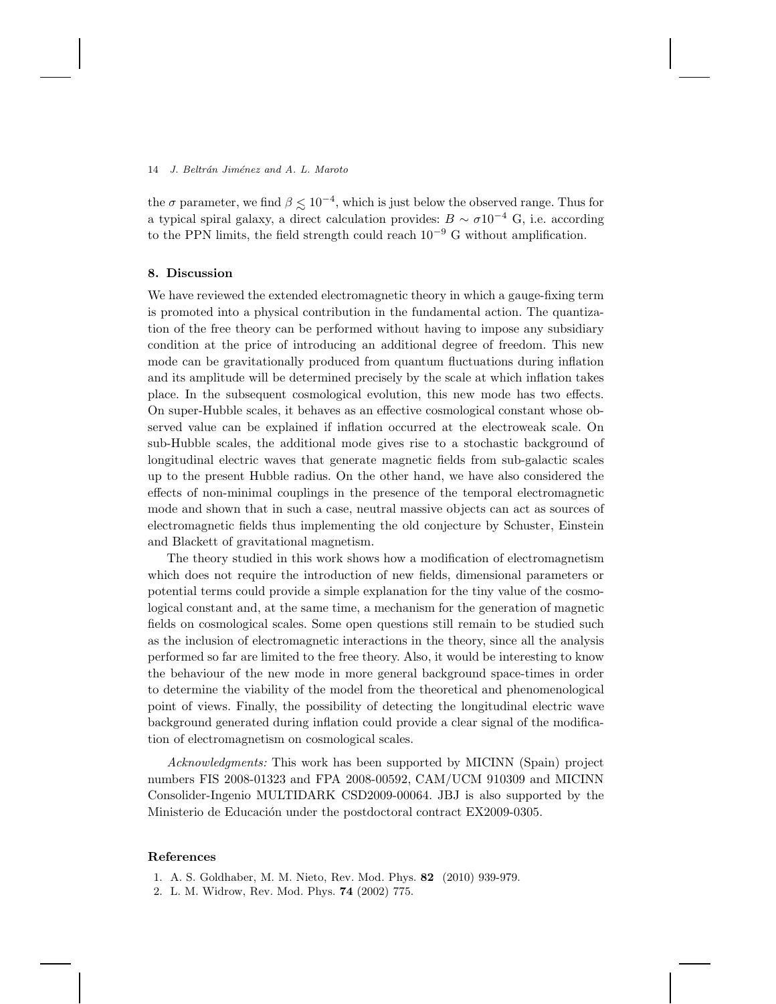the  $\sigma$  parameter, we find  $\beta \lesssim 10^{-4}$ , which is just below the observed range. Thus for  $\epsilon$  the seconding a typical spiral galaxy, a direct calculation provides:  $B \sim \sigma 10^{-4}$  G, i.e. according to the PPN limits, the field strength could reach  $10^{-9}$  G without amplification.

### 8. Discussion

We have reviewed the extended electromagnetic theory in which a gauge-fixing term is promoted into a physical contribution in the fundamental action. The quantization of the free theory can be performed without having to impose any subsidiary condition at the price of introducing an additional degree of freedom. This new mode can be gravitationally produced from quantum fluctuations during inflation and its amplitude will be determined precisely by the scale at which inflation takes place. In the subsequent cosmological evolution, this new mode has two effects. On super-Hubble scales, it behaves as an effective cosmological constant whose observed value can be explained if inflation occurred at the electroweak scale. On sub-Hubble scales, the additional mode gives rise to a stochastic background of longitudinal electric waves that generate magnetic fields from sub-galactic scales up to the present Hubble radius. On the other hand, we have also considered the effects of non-minimal couplings in the presence of the temporal electromagnetic mode and shown that in such a case, neutral massive objects can act as sources of electromagnetic fields thus implementing the old conjecture by Schuster, Einstein and Blackett of gravitational magnetism.

The theory studied in this work shows how a modification of electromagnetism which does not require the introduction of new fields, dimensional parameters or potential terms could provide a simple explanation for the tiny value of the cosmological constant and, at the same time, a mechanism for the generation of magnetic fields on cosmological scales. Some open questions still remain to be studied such as the inclusion of electromagnetic interactions in the theory, since all the analysis performed so far are limited to the free theory. Also, it would be interesting to know the behaviour of the new mode in more general background space-times in order to determine the viability of the model from the theoretical and phenomenological point of views. Finally, the possibility of detecting the longitudinal electric wave background generated during inflation could provide a clear signal of the modification of electromagnetism on cosmological scales.

Acknowledgments: This work has been supported by MICINN (Spain) project numbers FIS 2008-01323 and FPA 2008-00592, CAM/UCM 910309 and MICINN Consolider-Ingenio MULTIDARK CSD2009-00064. JBJ is also supported by the Ministerio de Educación under the postdoctoral contract EX2009-0305.

# <span id="page-13-0"></span>References

- <span id="page-13-1"></span>1. A. S. Goldhaber, M. M. Nieto, Rev. Mod. Phys. 82 (2010) 939-979.
- 2. L. M. Widrow, Rev. Mod. Phys. 74 (2002) 775.